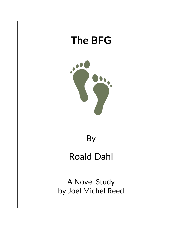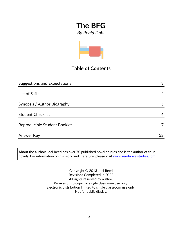

## **Table of Contents**

| <b>Suggestions and Expectations</b> | 3  |
|-------------------------------------|----|
|                                     |    |
| List of Skills                      | 4  |
|                                     |    |
| Synopsis / Author Biography         | 5  |
| <b>Student Checklist</b>            | 6  |
| Reproducible Student Booklet        | 7  |
| <b>Answer Key</b>                   | 52 |

**About the author:** Joel Reed has over 70 published novel studies and is the author of four  $|$ novels. For information on his work and literature, please visit  $\frac{\text{www.reednovelstudies.com}}{}$ 

> Copyright © 2013 Joel Reed Revisions Completed in 2022 All rights reserved by author. Permission to copy for single classroom use only. Electronic distribution limited to single classroom use only. Not for public display.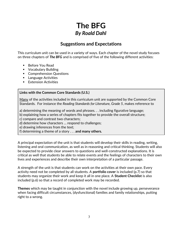## **Suggestions and Expectations**

This curriculum unit can be used in a variety of ways. Each chapter of the novel study focuses on three chapters of *The BFG* and is comprised of five of the following different activities:

- Before You Read
- **Vocabulary Building**
- **Comprehension Questions**
- **Language Activities**
- **Extension Activities**

#### **Links with the Common Core Standards (U.S.)**

Many of the activities included in this curriculum unit are supported by the Common Core Standards. For instance the *Reading Standards for Literature, Grade 5*, makes reference to

a) determining the meaning of words and phrases. . . including figurative language;

b) explaining how a series of chapters fits together to provide the overall structure;

c) compare and contrast two characters;

d) determine how characters … respond to challenges;

e) drawing inferences from the text;

f) determining a theme of a story . . . **and many others.**

A principal expectation of the unit is that students will develop their skills in reading, writing, listening and oral communication, as well as in reasoning and critical thinking. Students will also be expected to provide clear answers to questions and well-constructed explanations. It is critical as well that students be able to relate events and the feelings of characters to their own lives and experiences and describe their own interpretation of a particular passage.

A strength of the unit is that students can work on the activities at their own pace. Every activity need not be completed by all students. A **portfolio cover** is included (p.7) so that students may organize their work and keep it all in one place. A **Student Checklist** is also included (p.6) so that a record of completed work may be recorded.

**Themes** which may be taught in conjunction with the novel include growing up, perseverance when facing difficult circumstances, (dysfunctional) families and family relationships, putting right to a wrong.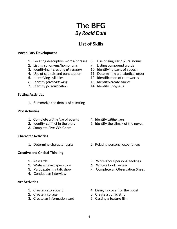## **List of Skills**

#### **Vocabulary Development**

- 1. Locating descriptive words/phrases 8. Use of singular / plural nouns
- 2. Listing synonyms/homonyms 9. Listing compound words
- 3. Identifying / creating *alliteration* 10. Identifying parts of speech
- 
- 
- 
- 7. Identify *personification* 14. Identify *anagrams*

#### **Setting Activities**

1. Summarize the details of a setting

#### **Plot Activities**

- 1. Complete a *time line* of events 4. Identify *cliffhangers*
- 
- 3. Complete Five W's Chart

#### **Character Activities**

#### **Creative and Critical Thinking**

- 
- 2. Write a newspaper story 6. Write a book review
- 
- 4. Conduct an interview

#### **Art Activities**

- 
- 
- 3. Create an information card 6. Casting a feature film
- 
- 
- 
- 4. Use of capitals and punctuation 11. Determining alphabetical order
- 5. Identifying syllables 12. Identification of root words
- 6. Identify *foreshadowing*. 13. Identify/create *similes*
	-

- 
- 2. Identify conflict in the story 5. Identify the climax of the novel.
- 1. Determine character traits 2. Relating personal experiences
- 1. Research 5. Write about personal feelings
	-
- 3. Participate in a talk show 7. Complete an Observation Sheet
- 1. Create a storyboard 4. Design a cover for the novel
- 2. Create a collage 5. Create a comic strip
	-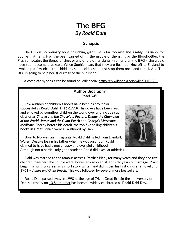#### **Synopsis**

 The BFG is no ordinary bone-crunching giant. He is far too nice and jumbly. It's lucky for Sophie that he is. Had she been carried off in the middle of the night by the Bloodbottler, the Fleshlumpeater, the Bonecruncher, or any of the other giants – rather than the BFG – she would have soon become breakfast. When Sophie hears that they are flush-bunking off to England to swollomp a few nice little chiddlers, she decides she must stop them once and for all. And The BFG is going to help her! (Courtesy of the publisher)

A complete synopsis can be found on Wikipedia: http://en.wikipedia.org/wiki/THE\_BFG

#### **Author Biography** *Roald Dahl*

 Few authors of children's books have been as prolific or successful as **Roald Dahl** (1916-1990). His novels have been read and enjoyed by countless children the world over and include such classics as *Charlie and the Chocolate Factory, Danny the Champion of the World, James and the Giant Peach* and *George's Marvelous Medicine.* Shortly before his death, the top five selling children's books in Great Britain were all authored by Dahl.

 Born to Norwegian immigrants, Roald Dahl hailed from Llandaff, Wales. Despite losing his father when he was only four, Roald claimed to have had a most happy and eventful childhood. Although not a particularly good student, Roald did excel at athletics.



 Dahl was married to the famous actress, **Patricia Neal,** for many years and they had five children together. The couple were, however, divorced after thirty years of marriage. Roald began his writing career as a short story writer, and didn't pen his first children's novel until 1961 – *James and Giant Peach*. This was followed by several more bestsellers.

 Roald Dahl passed away in 1990 at the age of 74. In Great Britain the anniversary of Dahl's birthday on [13 September](http://en.wikipedia.org/wiki/September_13) has become widely celebrated as **Roald Dahl Day**.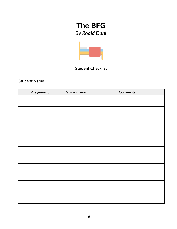

### **Student Checklist**

Student Name

| Assignment | Grade / Level | Comments |
|------------|---------------|----------|
|            |               |          |
|            |               |          |
|            |               |          |
|            |               |          |
|            |               |          |
|            |               |          |
|            |               |          |
|            |               |          |
|            |               |          |
|            |               |          |
|            |               |          |
|            |               |          |
|            |               |          |
|            |               |          |
|            |               |          |
|            |               |          |
|            |               |          |
|            |               |          |
|            |               |          |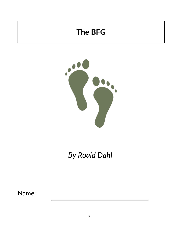# **The BFG**



# *By Roald Dahl*

Name: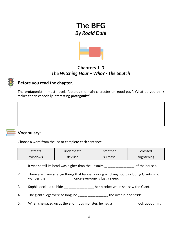

## **Chapters 1***-3 The Witching Hour – Who? - The Snatch*

## **Before you read the chapter**:

The **protagonist** in most novels features the main character or "good guy". What do you think makes for an especially interesting **protagonist**?



### **Vocabulary:**

Choose a word from the list to complete each sentence.

| streets             | underneath | smother  | crossed     |
|---------------------|------------|----------|-------------|
| devilish<br>windows |            | suitcase | frightening |

- 1. It was so tall its head was higher than the upstairs \_\_\_\_\_\_\_\_\_\_\_\_\_\_\_\_\_\_\_ of the houses.
- 2. There are many strange things that happen during witching hour, including Giants who wander the \_\_\_\_\_\_\_\_\_\_\_\_\_\_\_\_\_\_\_ once everyone is fast a sleep.
- 3. Sophie decided to hide \_\_\_\_\_\_\_\_\_\_\_\_\_\_\_\_\_\_ her blanket when she saw the Giant.
- 4. The giant's legs were so long, he \_\_\_\_\_\_\_\_\_\_\_\_\_\_\_\_\_\_\_ the river in one stride.
- 5. When she gazed up at the enormous monster, he had a \_\_\_\_\_\_\_\_\_\_\_\_\_\_\_ look about him.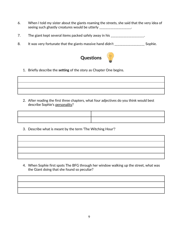- 6. When I told my sister about the giants roaming the streets, she said that the very idea of seeing such ghastly creatures would be utterly \_\_\_\_\_\_\_\_\_\_\_\_\_\_\_\_\_\_\_\_.
- 7. The giant kept several items packed safely away in his \_\_\_\_\_\_\_\_\_\_\_\_\_\_\_\_\_\_.
- 8. It was very fortunate that the giants massive hand didn't \_\_\_\_\_\_\_\_\_\_\_\_\_\_\_\_\_\_\_\_ Sophie.



1. Briefly describe the **setting** of the story as Chapter One begins.

2. After reading the first three chapters, what four adjectives do you think would best describe Sophie's personality?



3. Describe what is meant by the term 'The Witching Hour'?

4. When Sophie first spots The BFG through her window walking up the street, what was the Giant doing that she found so peculiar?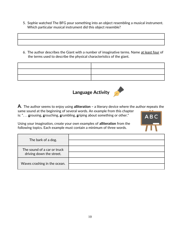- 5. Sophie watched The BFG pour something into an object resembling a musical instrument. Which particular musical instrument did this object resemble?
- 6. The author describes the Giant with a number of imaginative terms. Name at least four of the terms used to describe the physical characteristics of the giant.

# **Language Activity**



**A**. The author seems to enjoy using **alliteration –** a literary device where the author **r**epeats the same sound at the beginning of several words. An example from this chapter is: ". . . **g**rousing, **g**rouching, **g**rumbling, **g**riping about something or other."

Using your imagination, create your own examples of **alliteration** from the following topics. Each example must contain a minimum of three words.



| The bark of a dog.                                      |  |
|---------------------------------------------------------|--|
| The sound of a car or truck<br>driving down the street. |  |
| Waves crashing in the ocean.                            |  |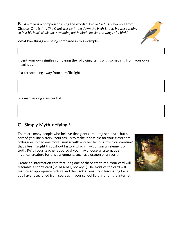**B.** A **simile** is a comparison using the words "like" or "as". An example from Chapter One is ". . . *The Giant was sprinting down the High Street. He was running so fast his black cloak was streaming out behind him like the wings of a bird*."



What two things are being compared in this example?

Invent your own **similes** comparing the following items with something from your own imagination:

a) a car speeding away from a traffic light

b) a man kicking a soccer ball

## **C. Simply Myth-defying!!**

There are many people who believe that giants are not just a myth, but a part of genuine history. Your task is to make it possible for your classroom colleagues to become more familiar with another famous 'mythical creature' that's been taught throughout history which may contain an element of truth. [With your teacher's approval you may choose an alternative mythical creature for this assignment, such as a dragon or unicorn.]

Create an information card featuring one of these creatures. Your card will resemble a sports card (i.e. baseball, hockey...) The front of the card will feature an appropriate picture and the back at least four fascinating facts you have researched from sources in your school library or on the Internet.